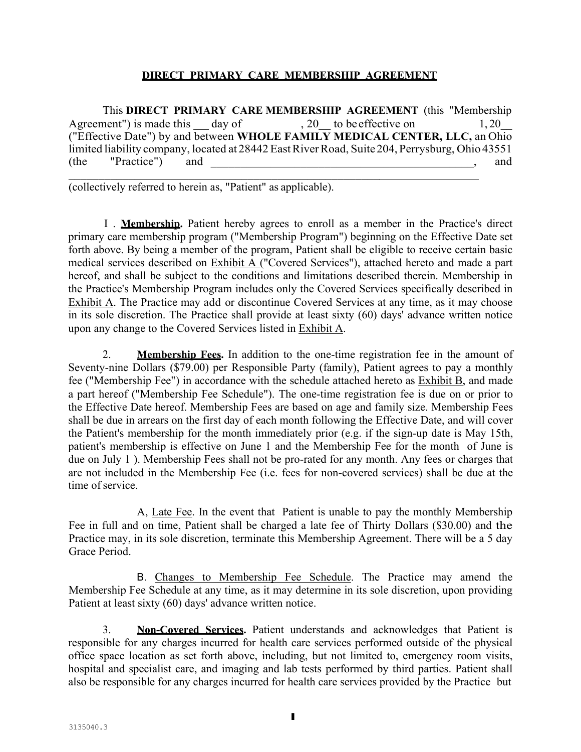## **DIRECT PRIMARY CARE MEMBERSHIP AGREEMENT**

This **DIRECT PRIMARY CARE MEMBERSHIP AGREEMENT** (this "Membership<br>Agreement") is made this <u>day of</u> , 20\_\_ to be effective on 1, 20\_\_ ("Effective Date") by and between **WHOLE FAMILY MEDICAL CENTER, LLC,** an Ohio limited liability company, located at 28442 East River Road, Suite 204, Perrysburg, Ohio 43551 (the "Practice") and , and

(collectively referred to herein as, "Patient" as applicable).

I . **Membership.** Patient hereby agrees to enroll as a member in the Practice's direct primary care membership program ("Membership Program") beginning on the Effective Date set forth above. By being a member of the program, Patient shall be eligible to receive certain basic medical services described on Exhibit A ("Covered Services"), attached hereto and made a part hereof, and shall be subject to the conditions and limitations described therein. Membership in the Practice's Membership Program includes only the Covered Services specifically described in Exhibit A. The Practice may add or discontinue Covered Services at any time, as it may choose in its sole discretion. The Practice shall provide at least sixty (60) days' advance written notice upon any change to the Covered Services listed in Exhibit A.

2. **Membership Fees.** In addition to the one-time registration fee in the amount of Seventy-nine Dollars (\$79.00) per Responsible Party (family), Patient agrees to pay a monthly fee ("Membership Fee") in accordance with the schedule attached hereto as Exhibit B, and made a part hereof ("Membership Fee Schedule"). The one-time registration fee is due on or prior to the Effective Date hereof. Membership Fees are based on age and family size. Membership Fees shall be due in arrears on the first day of each month following the Effective Date, and will cover the Patient's membership for the month immediately prior (e.g. if the sign-up date is May 15th, patient's membership is effective on June 1 and the Membership Fee for the month of June is due on July 1 ). Membership Fees shall not be pro-rated for any month. Any fees or charges that are not included in the Membership Fee (i.e. fees for non-covered services) shall be due at the time of service.

A, Late Fee. In the event that Patient is unable to pay the monthly Membership Fee in full and on time, Patient shall be charged a late fee of Thirty Dollars (\$30.00) and the Practice may, in its sole discretion, terminate this Membership Agreement. There will be a 5 day Grace Period.

B. Changes to Membership Fee Schedule. The Practice may amend the Membership Fee Schedule at any time, as it may determine in its sole discretion, upon providing Patient at least sixty (60) days' advance written notice.

3. **Non-Covered Services.** Patient understands and acknowledges that Patient is responsible for any charges incurred for health care services performed outside of the physical office space location as set forth above, including, but not limited to, emergency room visits, hospital and specialist care, and imaging and lab tests performed by third parties. Patient shall also be responsible for any charges incurred for health care services provided by the Practice but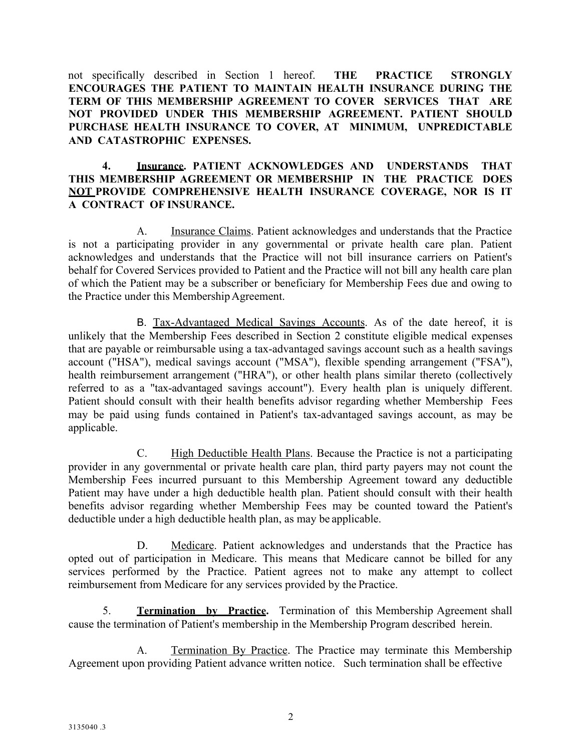not specifically described in Section 1 hereof. **THE PRACTICE STRONGLY ENCOURAGES THE PATIENT TO MAINTAIN HEALTH INSURANCE DURING THE TERM OF THIS MEMBERSHIP AGREEMENT TO COVER SERVICES THAT ARE NOT PROVIDED UNDER THIS MEMBERSHIP AGREEMENT. PATIENT SHOULD PURCHASE HEALTH INSURANCE TO COVER, AT MINIMUM, UNPREDICTABLE AND CATASTROPHIC EXPENSES.**

## **4. Insurance. PATIENT ACKNOWLEDGES AND UNDERSTANDS THAT THIS MEMBERSHIP AGREEMENT OR MEMBERSHIP IN THE PRACTICE DOES NOT PROVIDE COMPREHENSIVE HEALTH INSURANCE COVERAGE, NOR IS IT A CONTRACT OF INSURANCE.**

A. Insurance Claims. Patient acknowledges and understands that the Practice is not a participating provider in any governmental or private health care plan. Patient acknowledges and understands that the Practice will not bill insurance carriers on Patient's behalf for Covered Services provided to Patient and the Practice will not bill any health care plan of which the Patient may be a subscriber or beneficiary for Membership Fees due and owing to the Practice under this Membership Agreement.

B. Tax-Advantaged Medical Savings Accounts. As of the date hereof, it is unlikely that the Membership Fees described in Section 2 constitute eligible medical expenses that are payable or reimbursable using a tax-advantaged savings account such as a health savings account ("HSA"), medical savings account ("MSA"), flexible spending arrangement ("FSA"), health reimbursement arrangement ("HRA"), or other health plans similar thereto (collectively referred to as a "tax-advantaged savings account"). Every health plan is uniquely different. Patient should consult with their health benefits advisor regarding whether Membership Fees may be paid using funds contained in Patient's tax-advantaged savings account, as may be applicable.

C. High Deductible Health Plans. Because the Practice is not a participating provider in any governmental or private health care plan, third party payers may not count the Membership Fees incurred pursuant to this Membership Agreement toward any deductible Patient may have under a high deductible health plan. Patient should consult with their health benefits advisor regarding whether Membership Fees may be counted toward the Patient's deductible under a high deductible health plan, as may be applicable.

D. Medicare. Patient acknowledges and understands that the Practice has opted out of participation in Medicare. This means that Medicare cannot be billed for any services performed by the Practice. Patient agrees not to make any attempt to collect reimbursement from Medicare for any services provided by the Practice.

5. **Termination by Practice.** Termination of this Membership Agreement shall cause the termination of Patient's membership in the Membership Program described herein.

A. Termination By Practice. The Practice may terminate this Membership Agreement upon providing Patient advance written notice. Such termination shall be effective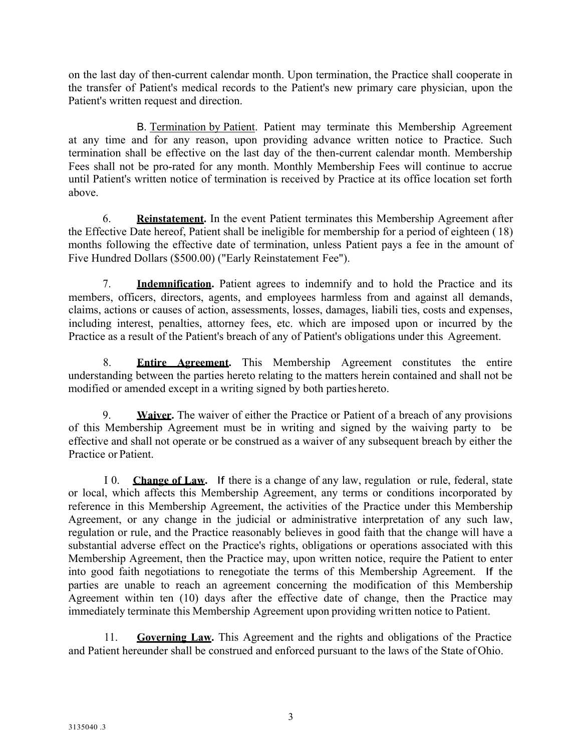on the last day of then-current calendar month. Upon termination, the Practice shall cooperate in the transfer of Patient's medical records to the Patient's new primary care physician, upon the Patient's written request and direction.

B. Termination by Patient. Patient may terminate this Membership Agreement at any time and for any reason, upon providing advance written notice to Practice. Such termination shall be effective on the last day of the then-current calendar month. Membership Fees shall not be pro-rated for any month. Monthly Membership Fees will continue to accrue until Patient's written notice of termination is received by Practice at its office location set forth above.

6. **Reinstatement.** In the event Patient terminates this Membership Agreement after the Effective Date hereof, Patient shall be ineligible for membership for a period of eighteen ( 18) months following the effective date of termination, unless Patient pays a fee in the amount of Five Hundred Dollars (\$500.00) ("Early Reinstatement Fee").

7. **Indemnification.** Patient agrees to indemnify and to hold the Practice and its members, officers, directors, agents, and employees harmless from and against all demands, claims, actions or causes of action, assessments, losses, damages, liabili ties, costs and expenses, including interest, penalties, attorney fees, etc. which are imposed upon or incurred by the Practice as a result of the Patient's breach of any of Patient's obligations under this Agreement.

8. **Entire Agreement.** This Membership Agreement constitutes the entire understanding between the parties hereto relating to the matters herein contained and shall not be modified or amended except in a writing signed by both parties hereto.

9. **Waiver.** The waiver of either the Practice or Patient of a breach of any provisions of this Membership Agreement must be in writing and signed by the waiving party to be effective and shall not operate or be construed as a waiver of any subsequent breach by either the Practice or Patient.

I 0. **Change of Law.** If there is a change of any law, regulation or rule, federal, state or local, which affects this Membership Agreement, any terms or conditions incorporated by reference in this Membership Agreement, the activities of the Practice under this Membership Agreement, or any change in the judicial or administrative interpretation of any such law, regulation or rule, and the Practice reasonably believes in good faith that the change will have a substantial adverse effect on the Practice's rights, obligations or operations associated with this Membership Agreement, then the Practice may, upon written notice, require the Patient to enter into good faith negotiations to renegotiate the terms of this Membership Agreement. If the parties are unable to reach an agreement concerning the modification of this Membership Agreement within ten (10) days after the effective date of change, then the Practice may immediately terminate this Membership Agreement upon providing written notice to Patient.

11. **Governing Law.** This Agreement and the rights and obligations of the Practice and Patient hereunder shall be construed and enforced pursuant to the laws of the State of Ohio.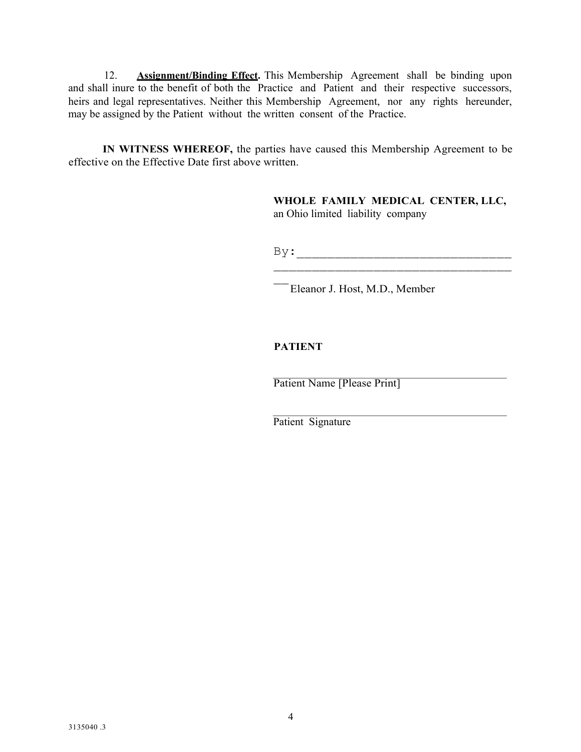12. **Assignment/Binding Effect.** This Membership Agreement shall be binding upon and shall inure to the benefit of both the Practice and Patient and their respective successors, heirs and legal representatives. Neither this Membership Agreement, nor any rights hereunder, may be assigned by the Patient without the written consent of the Practice.

**IN WITNESS WHEREOF,** the parties have caused this Membership Agreement to be effective on the Effective Date first above written.

> **WHOLE FAMILY MEDICAL CENTER, LLC,** an Ohio limited liability company

By:\_\_\_\_\_\_\_\_\_\_\_\_\_\_\_\_\_\_\_\_\_\_\_\_\_\_\_\_  $\mathcal{L}_\text{max}$  , which is a set of the set of the set of the set of the set of the set of the set of the set of the set of the set of the set of the set of the set of the set of the set of the set of the set of the set of

\_\_Eleanor J. Host, M.D., Member

# **PATIENT**

Patient Name [Please Print]

Patient Signature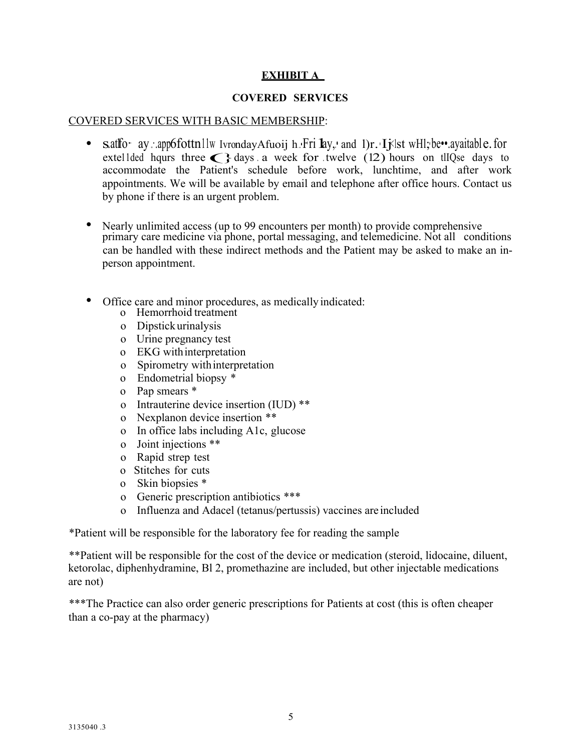# **EXHIBIT A**

## **COVERED SERVICES**

### COVERED SERVICES WITH BASIC MEMBERSHIP:

- s.at fo• ay :..app6fottn11w IvrondayAfuoij h..•Fri **l**ay,.• and 1)r. Ijslst wHl;be••.ayaitable. for extelled hqurs three second at the patient of a second at the patient of a second at the patient of a second at the pa accommodate the Patient's schedule before work, lunchtime, and after work appointments. We will be available by email and telephone after office hours. Contact us by phone if there is an urgent problem.
- Nearly unlimited access (up to 99 encounters per month) to provide comprehensive primary care medicine via phone, portal messaging, and telemedicine. Not all conditions can be handled with these indirect methods and the Patient may be asked to make an inperson appointment.
- Office care and minor procedures, as medically indicated:
	- o Hemorrhoid treatment
	- o Dipstickurinalysis
	- o Urine pregnancy test
	- o EKG withinterpretation
	- o Spirometry withinterpretation
	- o Endometrial biopsy \*
	- o Pap smears \*
	- o Intrauterine device insertion (IUD) \*\*
	- o Nexplanon device insertion \*\*
	- o In office labs including A1c, glucose
	- o Joint injections \*\*
	- o Rapid strep test
	- o Stitches for cuts
	- o Skin biopsies \*
	- o Generic prescription antibiotics \*\*\*
	- o Influenza and Adacel (tetanus/pertussis) vaccines are included

\*Patient will be responsible for the laboratory fee for reading the sample

\*\*Patient will be responsible for the cost of the device or medication (steroid, lidocaine, diluent, ketorolac, diphenhydramine, Bl 2, promethazine are included, but other injectable medications are not)

\*\*\*The Practice can also order generic prescriptions for Patients at cost (this is often cheaper than a co-pay at the pharmacy)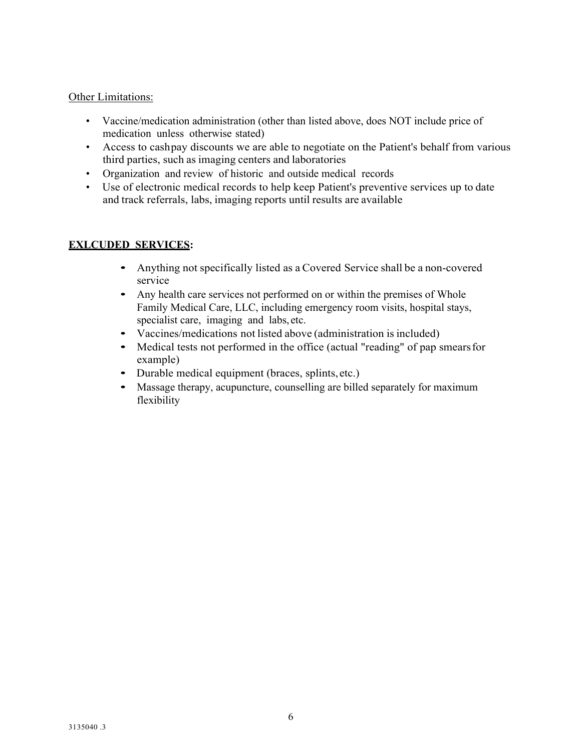## Other Limitations:

- Vaccine/medication administration (other than listed above, does NOT include price of medication unless otherwise stated)
- Access to cashpay discounts we are able to negotiate on the Patient's behalf from various third parties, such as imaging centers and laboratories
- Organization and review of historic and outside medical records
- Use of electronic medical records to help keep Patient's preventive services up to date and track referrals, labs, imaging reports until results are available

## **EXLCUDED SERVICES:**

- Anything not specifically listed as <sup>a</sup> Covered Service shall be <sup>a</sup> non-covered service
- Any health care services not performed on or within the premises of Whole Family Medical Care, LLC, including emergency room visits, hospital stays, specialist care, imaging and labs, etc.
- Vaccines/medications not listed above (administration is included)<br>• Medical tests not performed in the office (actual "reading" of pap s
- Medical tests not performed in the office (actual "reading" of pap smears for example)
- Durable medical equipment (braces, splints, etc.)
- Massage therapy, acupuncture, counselling are billed separately for maximum flexibility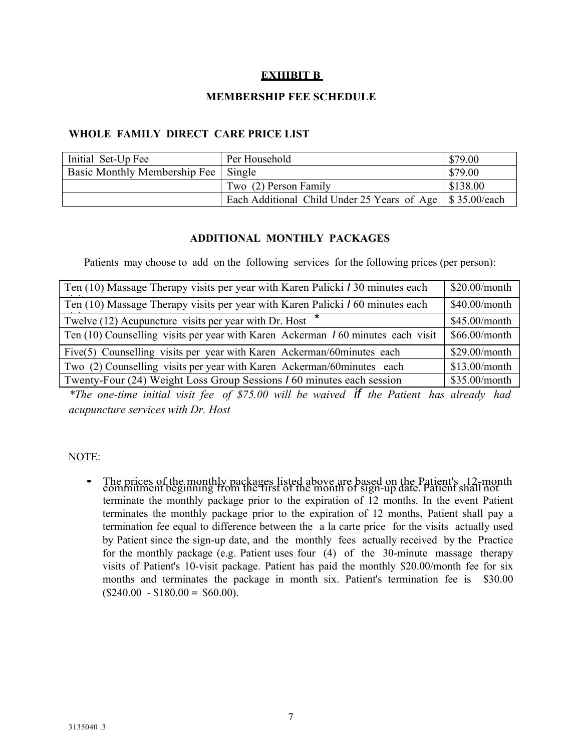# **EXHIBIT B**

### **MEMBERSHIP FEE SCHEDULE**

### **WHOLE FAMILY DIRECT CARE PRICE LIST**

| Initial Set-Up Fee                  | Per Household                                              | \$79.00  |
|-------------------------------------|------------------------------------------------------------|----------|
| Basic Monthly Membership Fee Single |                                                            | \$79.00  |
|                                     | Two (2) Person Family                                      | \$138.00 |
|                                     | Each Additional Child Under 25 Years of Age   \$35.00/each |          |

#### **ADDITIONAL MONTHLY PACKAGES**

Patients may choose to add on the following services for the following prices (per person):

| Ten (10) Massage Therapy visits per year with Karen Palicki / 30 minutes each        | \$20.00/month |
|--------------------------------------------------------------------------------------|---------------|
| Ten (10) Massage Therapy visits per year with Karen Palicki <i>I</i> 60 minutes each | \$40.00/month |
| Twelve $(12)$ Acupuncture visits per year with Dr. Host $*$                          | \$45.00/month |
| Ten (10) Counselling visits per year with Karen Ackerman 160 minutes each visit      | \$66.00/month |
| Five(5) Counselling visits per year with Karen Ackerman/60minutes each               | \$29.00/month |
| Two (2) Counselling visits per year with Karen Ackerman/60minutes each               | \$13.00/month |
| Twenty-Four (24) Weight Loss Group Sessions 160 minutes each session                 | \$35.00/month |

*\*The one-time initial visit fee of \$75.00 will be waived if the Patient has already had acupuncture services with Dr. Host*

#### NOTE:

• The prices of the monthly packages listed above are based on the Patient's 12-month commitment beginning from the first of the month of sign-up date. Patient shall not terminate the monthly package prior to the expiration of 12 months. In the event Patient terminates the monthly package prior to the expiration of 12 months, Patient shall pay a termination fee equal to difference between the a la carte price for the visits actually used by Patient since the sign-up date, and the monthly fees actually received by the Practice for the monthly package (e.g. Patient uses four (4) of the 30-minute massage therapy visits of Patient's 10-visit package. Patient has paid the monthly \$20.00/month fee for six months and terminates the package in month six. Patient's termination fee is \$30.00  $$240.00 - $180.00 = $60.00$ .